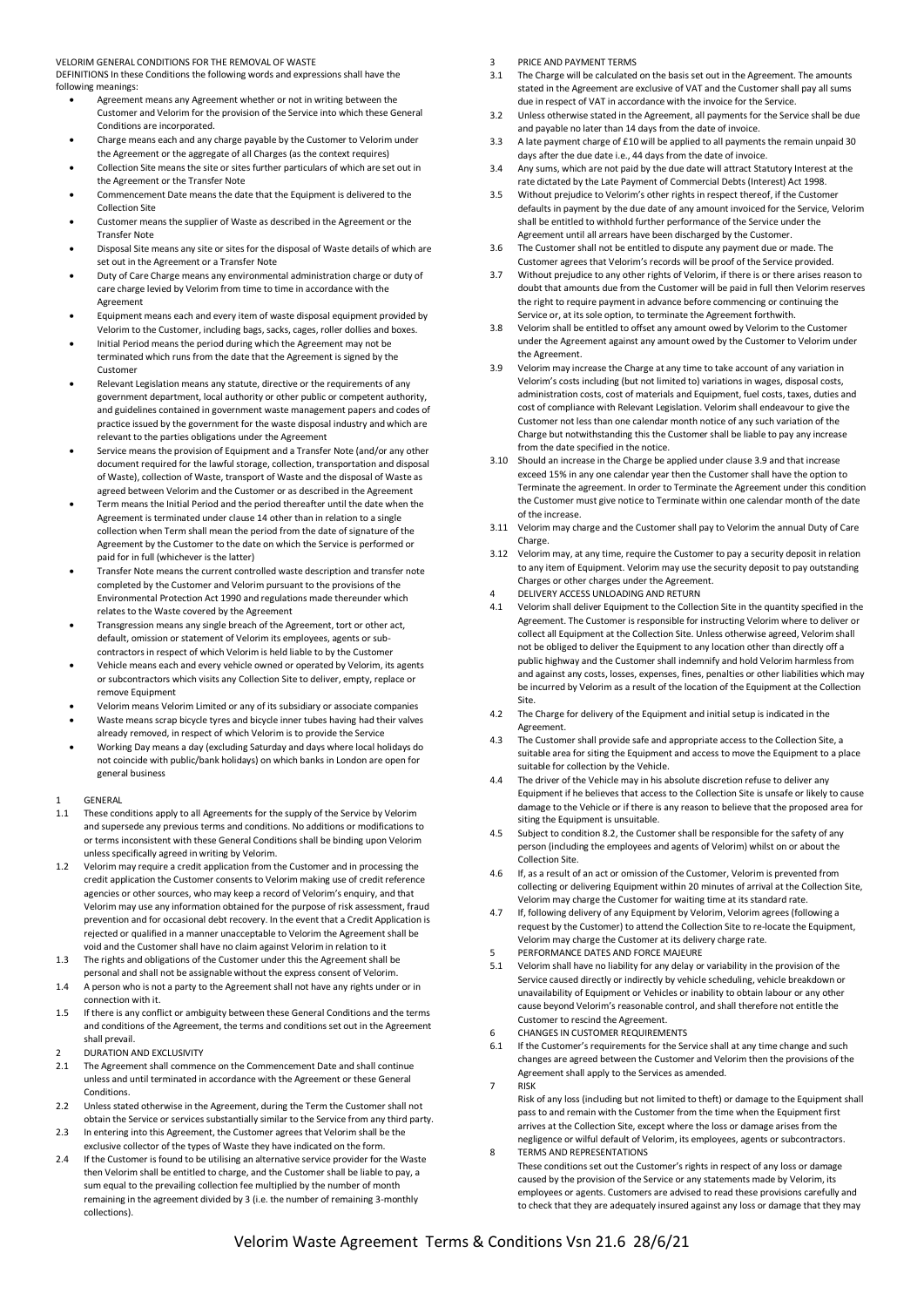VELORIM GENERAL CONDITIONS FOR THE REMOVAL OF WASTE

DEFINITIONS In these Conditions the following words and expressions shall have the following meanings:

- Agreement means any Agreement whether or not in writing between the Customer and Velorim for the provision of the Service into which these General Conditions are incorporated.
- Charge means each and any charge payable by the Customer to Velorim under the Agreement or the aggregate of all Charges (as the context requires)
- Collection Site means the site or sites further particulars of which are set out in the Agreement or the Transfer Note
- Commencement Date means the date that the Equipment is delivered to the Collection Site
- Customer means the supplier of Waste as described in the Agreement or the Transfer Note
- Disposal Site means any site or sites for the disposal of Waste details of which are set out in the Agreement or a Transfer Note
- Duty of Care Charge means any environmental administration charge or duty of care charge levied by Velorim from time to time in accordance with the Agreement
- Equipment means each and every item of waste disposal equipment provided by Velorim to the Customer, including bags, sacks, cages, roller dollies and boxes.
- Initial Period means the period during which the Agreement may not be terminated which runs from the date that the Agreement is signed by the Customer
- Relevant Legislation means any statute, directive or the requirements of any government department, local authority or other public or competent authority, and guidelines contained in government waste management papers and codes of practice issued by the government for the waste disposal industry and which are relevant to the parties obligations under the Agreement
- Service means the provision of Equipment and a Transfer Note (and/or any other document required for the lawful storage, collection, transportation and disposal of Waste), collection of Waste, transport of Waste and the disposal of Waste as agreed between Velorim and the Customer or as described in the Agreement
- Term means the Initial Period and the period thereafter until the date when the Agreement is terminated under clause 14 other than in relation to a single collection when Term shall mean the period from the date of signature of the Agreement by the Customer to the date on which the Service is performed or paid for in full (whichever is the latter)
- Transfer Note means the current controlled waste description and transfer note completed by the Customer and Velorim pursuant to the provisions of the Environmental Protection Act 1990 and regulations made thereunder which relates to the Waste covered by the Agreement
- Transgression means any single breach of the Agreement, tort or other act, default, omission or statement of Velorim its employees, agents or subcontractors in respect of which Velorim is held liable to by the Customer
- Vehicle means each and every vehicle owned or operated by Velorim, its agents or subcontractors which visits any Collection Site to deliver, empty, replace or remove Equipment
- Velorim means Velorim Limited or any of its subsidiary or associate companies • Waste means scrap bicycle tyres and bicycle inner tubes having had their valves
- already removed, in respect of which Velorim is to provide the Service • Working Day means a day (excluding Saturday and days where local holidays do not coincide with public/bank holidays) on which banks in London are open for general business

## 1 GENERAL

- 1.1 These conditions apply to all Agreements for the supply of the Service by Velorim and supersede any previous terms and conditions. No additions or modifications to or terms inconsistent with these General Conditions shall be binding upon Velorim unless specifically agreed in writing by Velorim.
- 1.2 Velorim may require a credit application from the Customer and in processing the credit application the Customer consents to Velorim making use of credit reference agencies or other sources, who may keep a record of Velorim's enquiry, and that Velorim may use any information obtained for the purpose of risk assessment, fraud prevention and for occasional debt recovery. In the event that a Credit Application is rejected or qualified in a manner unacceptable to Velorim the Agreement shall be void and the Customer shall have no claim against Velorim in relation to it
- 1.3 The rights and obligations of the Customer under this the Agreement shall be personal and shall not be assignable without the express consent of Velorim.
- 1.4 A person who is not a party to the Agreement shall not have any rights under or in connection with it.
- 1.5 If there is any conflict or ambiguity between these General Conditions and the terms and conditions of the Agreement, the terms and conditions set out in the Agreement shall prevail.
- DURATION AND EXCLUSIVITY
- 2.1 The Agreement shall commence on the Commencement Date and shall continue unless and until terminated in accordance with the Agreement or these General **Conditions**
- 2.2 Unless stated otherwise in the Agreement, during the Term the Customer shall not obtain the Service or services substantially similar to the Service from any third party.
- 2.3 In entering into this Agreement, the Customer agrees that Velorim shall be the exclusive collector of the types of Waste they have indicated on the form.
- 2.4 If the Customer is found to be utilising an alternative service provider for the Waste then Velorim shall be entitled to charge, and the Customer shall be liable to pay, a sum equal to the prevailing collection fee multiplied by the number of month remaining in the agreement divided by 3 (i.e. the number of remaining 3-monthly collections).
- 3 PRICE AND PAYMENT TERMS
- 3.1 The Charge will be calculated on the basis set out in the Agreement. The amounts stated in the Agreement are exclusive of VAT and the Customer shall pay all sums due in respect of VAT in accordance with the invoice for the Service.
- 3.2 Unless otherwise stated in the Agreement, all payments for the Service shall be due and payable no later than 14 days from the date of invoice.
- 3.3 A late payment charge of £10 will be applied to all payments the remain unpaid 30 days after the due date i.e., 44 days from the date of invoice.
- 3.4 Any sums, which are not paid by the due date will attract Statutory Interest at the rate dictated by the Late Payment of Commercial Debts (Interest) Act 1998.
- 3.5 Without prejudice to Velorim's other rights in respect thereof, if the Customer defaults in payment by the due date of any amount invoiced for the Service, Velorim shall be entitled to withhold further performance of the Service under the Agreement until all arrears have been discharged by the Customer.
- 3.6 The Customer shall not be entitled to dispute any payment due or made. The Customer agrees that Velorim's records will be proof of the Service provided.
- 3.7 Without prejudice to any other rights of Velorim, if there is or there arises reason to doubt that amounts due from the Customer will be paid in full then Velorim reserves the right to require payment in advance before commencing or continuing the Service or, at its sole option, to terminate the Agreement forthwith.
- 3.8 Velorim shall be entitled to offset any amount owed by Velorim to the Customer under the Agreement against any amount owed by the Customer to Velorim under the Agreement.
- 3.9 Velorim may increase the Charge at any time to take account of any variation in Velorim's costs including (but not limited to) variations in wages, disposal costs, administration costs, cost of materials and Equipment, fuel costs, taxes, duties and cost of compliance with Relevant Legislation. Velorim shall endeavour to give the Customer not less than one calendar month notice of any such variation of the Charge but notwithstanding this the Customer shall be liable to pay any increase from the date specified in the notice.
- 3.10 Should an increase in the Charge be applied under clause 3.9 and that increase exceed 15% in any one calendar year then the Customer shall have the option to Terminate the agreement. In order to Terminate the Agreement under this condition the Customer must give notice to Terminate within one calendar month of the date of the increase.
- 3.11 Velorim may charge and the Customer shall pay to Velorim the annual Duty of Care Charge.
- 3.12 Velorim may, at any time, require the Customer to pay a security deposit in relation to any item of Equipment. Velorim may use the security deposit to pay outstanding Charges or other charges under the Agreement.
- DELIVERY ACCESS UNLOADING AND RETURN
- 4.1 Velorim shall deliver Equipment to the Collection Site in the quantity specified in the Agreement. The Customer is responsible for instructing Velorim where to deliver or collect all Equipment at the Collection Site. Unless otherwise agreed, Velorim shall not be obliged to deliver the Equipment to any location other than directly off a public highway and the Customer shall indemnify and hold Velorim harmless from and against any costs, losses, expenses, fines, penalties or other liabilities which may be incurred by Velorim as a result of the location of the Equipment at the Collection Site.
- 4.2 The Charge for delivery of the Equipment and initial setup is indicated in the Agreement.
- 4.3 The Customer shall provide safe and appropriate access to the Collection Site, a suitable area for siting the Equipment and access to move the Equipment to a place suitable for collection by the Vehicle.
- The driver of the Vehicle may in his absolute discretion refuse to deliver any Equipment if he believes that access to the Collection Site is unsafe or likely to cause damage to the Vehicle or if there is any reason to believe that the proposed area for siting the Equipment is unsuitable.
- 4.5 Subject to condition 8.2, the Customer shall be responsible for the safety of any person (including the employees and agents of Velorim) whilst on or about the Collection Site.
- 4.6 If, as a result of an act or omission of the Customer, Velorim is prevented from collecting or delivering Equipment within 20 minutes of arrival at the Collection Site, Velorim may charge the Customer for waiting time at its standard rate.
- 4.7 If, following delivery of any Equipment by Velorim, Velorim agrees (following a request by the Customer) to attend the Collection Site to re-locate the Equipment, Velorim may charge the Customer at its delivery charge rate.
- 5 PERFORMANCE DATES AND FORCE MAJEURE
- 5.1 Velorim shall have no liability for any delay or variability in the provision of the Service caused directly or indirectly by vehicle scheduling, vehicle breakdown or unavailability of Equipment or Vehicles or inability to obtain labour or any other cause beyond Velorim's reasonable control, and shall therefore not entitle the Customer to rescind the Agreement.
- 6 CHANGES IN CUSTOMER REQUIREMENTS
- 6.1 If the Customer's requirements for the Service shall at any time change and such changes are agreed between the Customer and Velorim then the provisions of the Agreement shall apply to the Services as amended.
- 7 RISK
- Risk of any loss (including but not limited to theft) or damage to the Equipment shall pass to and remain with the Customer from the time when the Equipment first arrives at the Collection Site, except where the loss or damage arises from the negligence or wilful default of Velorim, its employees, agents or subcontractors. 8 TERMS AND REPRESENTATIONS
- These conditions set out the Customer's rights in respect of any loss or damage caused by the provision of the Service or any statements made by Velorim, its employees or agents. Customers are advised to read these provisions carefully and to check that they are adequately insured against any loss or damage that they may